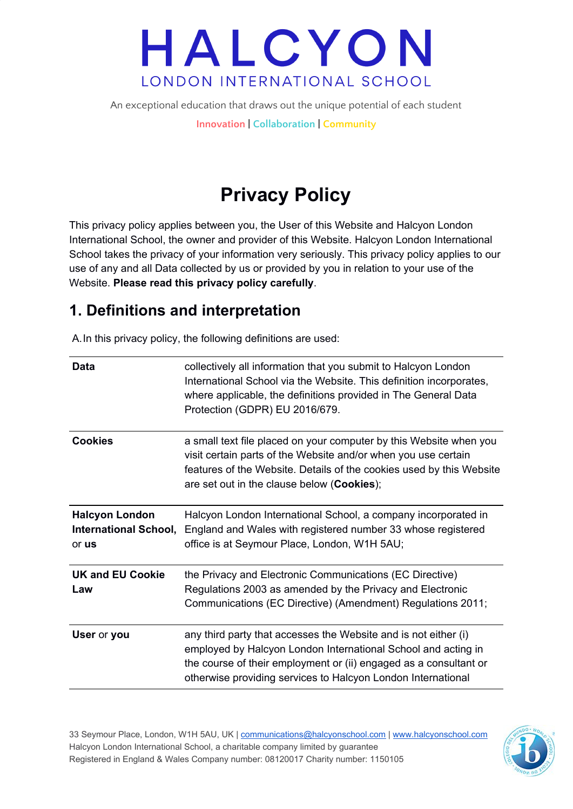An exceptional education that draws out the unique potential of each student

**Innovation | Collaboration | Community**

### **Privacy Policy**

This privacy policy applies between you, the User of this Website and Halcyon London International School, the owner and provider of this Website. Halcyon London International School takes the privacy of your information very seriously. This privacy policy applies to our use of any and all Data collected by us or provided by you in relation to your use of the Website. **Please read this privacy policy carefully**.

#### **1. Definitions and interpretation**

A.In this privacy policy, the following definitions are used:

| Data                                                           | collectively all information that you submit to Halcyon London<br>International School via the Website. This definition incorporates,<br>where applicable, the definitions provided in The General Data<br>Protection (GDPR) EU 2016/679.                             |
|----------------------------------------------------------------|-----------------------------------------------------------------------------------------------------------------------------------------------------------------------------------------------------------------------------------------------------------------------|
| <b>Cookies</b>                                                 | a small text file placed on your computer by this Website when you<br>visit certain parts of the Website and/or when you use certain<br>features of the Website. Details of the cookies used by this Website<br>are set out in the clause below (Cookies);            |
| <b>Halcyon London</b><br><b>International School,</b><br>or us | Halcyon London International School, a company incorporated in<br>England and Wales with registered number 33 whose registered<br>office is at Seymour Place, London, W1H 5AU;                                                                                        |
| <b>UK and EU Cookie</b><br>Law                                 | the Privacy and Electronic Communications (EC Directive)<br>Regulations 2003 as amended by the Privacy and Electronic<br>Communications (EC Directive) (Amendment) Regulations 2011;                                                                                  |
| User or you                                                    | any third party that accesses the Website and is not either (i)<br>employed by Halcyon London International School and acting in<br>the course of their employment or (ii) engaged as a consultant or<br>otherwise providing services to Halcyon London International |

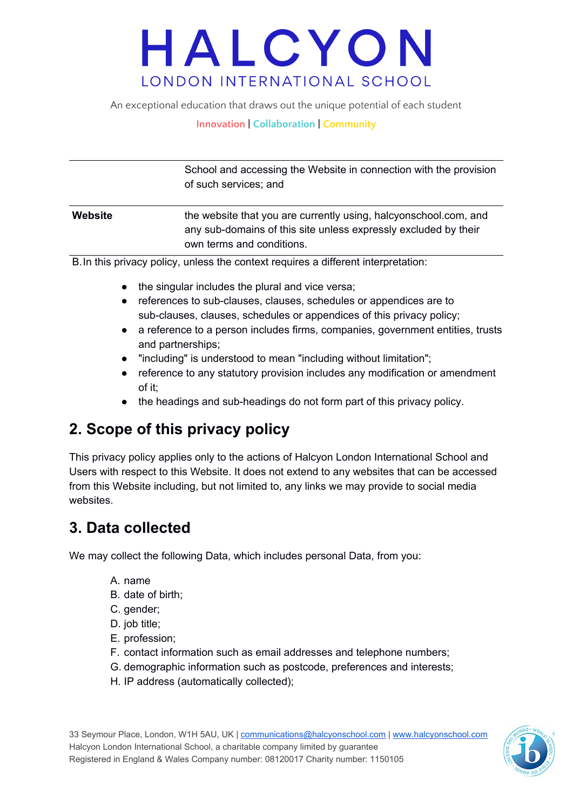An exceptional education that draws out the unique potential of each student

#### **Innovation | Collaboration | Community**

School and accessing the Website in connection with the provision of such services; and

**Website** the website that you are currently using, halcyonschool.com, and any sub-domains of this site unless expressly excluded by their own terms and conditions.

B.In this privacy policy, unless the context requires a different interpretation:

- the singular includes the plural and vice versa;
- references to sub-clauses, clauses, schedules or appendices are to sub-clauses, clauses, schedules or appendices of this privacy policy;
- a reference to a person includes firms, companies, government entities, trusts and partnerships;
- "including" is understood to mean "including without limitation";
- reference to any statutory provision includes any modification or amendment of it;
- the headings and sub-headings do not form part of this privacy policy.

#### **2. Scope of this privacy policy**

This privacy policy applies only to the actions of Halcyon London International School and Users with respect to this Website. It does not extend to any websites that can be accessed from this Website including, but not limited to, any links we may provide to social media websites.

#### **3. Data collected**

We may collect the following Data, which includes personal Data, from you:

- A. name
- B. date of birth;
- C. gender;
- D. job title;
- E. profession;
- F. contact information such as email addresses and telephone numbers;
- G. demographic information such as postcode, preferences and interests;
- H. IP address (automatically collected);

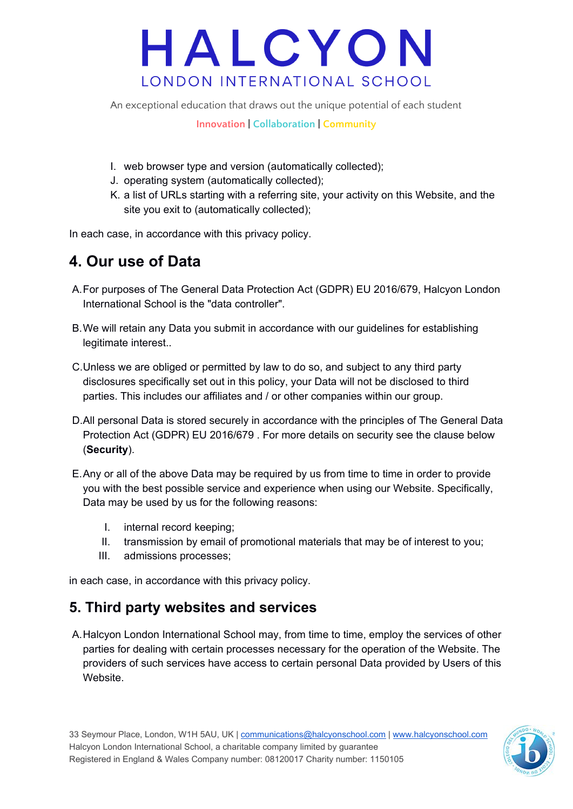An exceptional education that draws out the unique potential of each student

**Innovation | Collaboration | Community**

- I. web browser type and version (automatically collected);
- J. operating system (automatically collected);
- K. a list of URLs starting with a referring site, your activity on this Website, and the site you exit to (automatically collected);

In each case, in accordance with this privacy policy.

#### **4. Our use of Data**

- A.For purposes of The General Data Protection Act (GDPR) EU 2016/679, Halcyon London International School is the "data controller".
- B.We will retain any Data you submit in accordance with our guidelines for establishing legitimate interest..
- C.Unless we are obliged or permitted by law to do so, and subject to any third party disclosures specifically set out in this policy, your Data will not be disclosed to third parties. This includes our affiliates and / or other companies within our group.
- D.All personal Data is stored securely in accordance with the principles of The General Data Protection Act (GDPR) EU 2016/679 . For more details on security see the clause below (**Security**).
- E.Any or all of the above Data may be required by us from time to time in order to provide you with the best possible service and experience when using our Website. Specifically, Data may be used by us for the following reasons:
	- I. internal record keeping;
	- II. transmission by email of promotional materials that may be of interest to you;
	- III. admissions processes;

in each case, in accordance with this privacy policy.

#### **5. Third party websites and services**

A.Halcyon London International School may, from time to time, employ the services of other parties for dealing with certain processes necessary for the operation of the Website. The providers of such services have access to certain personal Data provided by Users of this Website.

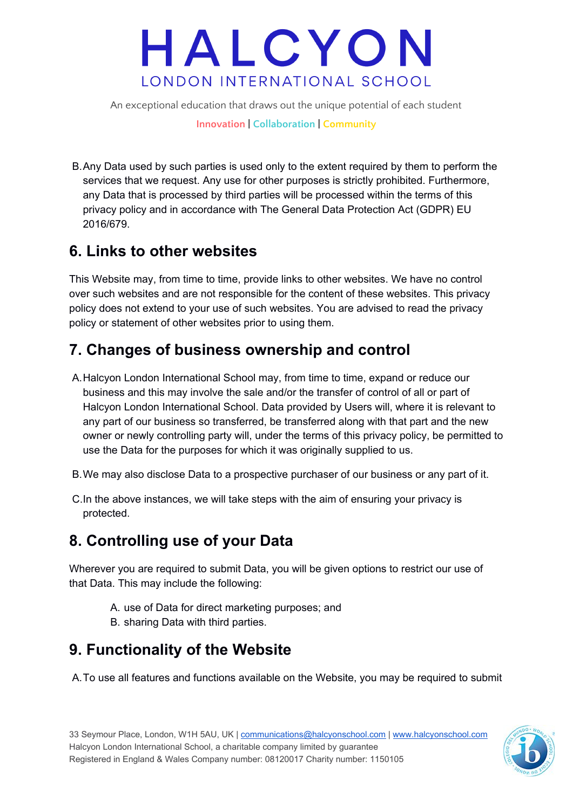An exceptional education that draws out the unique potential of each student

**Innovation | Collaboration | Community**

B.Any Data used by such parties is used only to the extent required by them to perform the services that we request. Any use for other purposes is strictly prohibited. Furthermore, any Data that is processed by third parties will be processed within the terms of this privacy policy and in accordance with The General Data Protection Act (GDPR) EU 2016/679.

#### **6. Links to other websites**

This Website may, from time to time, provide links to other websites. We have no control over such websites and are not responsible for the content of these websites. This privacy policy does not extend to your use of such websites. You are advised to read the privacy policy or statement of other websites prior to using them.

#### **7. Changes of business ownership and control**

- A.Halcyon London International School may, from time to time, expand or reduce our business and this may involve the sale and/or the transfer of control of all or part of Halcyon London International School. Data provided by Users will, where it is relevant to any part of our business so transferred, be transferred along with that part and the new owner or newly controlling party will, under the terms of this privacy policy, be permitted to use the Data for the purposes for which it was originally supplied to us.
- B.We may also disclose Data to a prospective purchaser of our business or any part of it.
- C.In the above instances, we will take steps with the aim of ensuring your privacy is protected.

#### **8. Controlling use of your Data**

Wherever you are required to submit Data, you will be given options to restrict our use of that Data. This may include the following:

- A. use of Data for direct marketing purposes; and
- B. sharing Data with third parties.

#### **9. Functionality of the Website**

A.To use all features and functions available on the Website, you may be required to submit

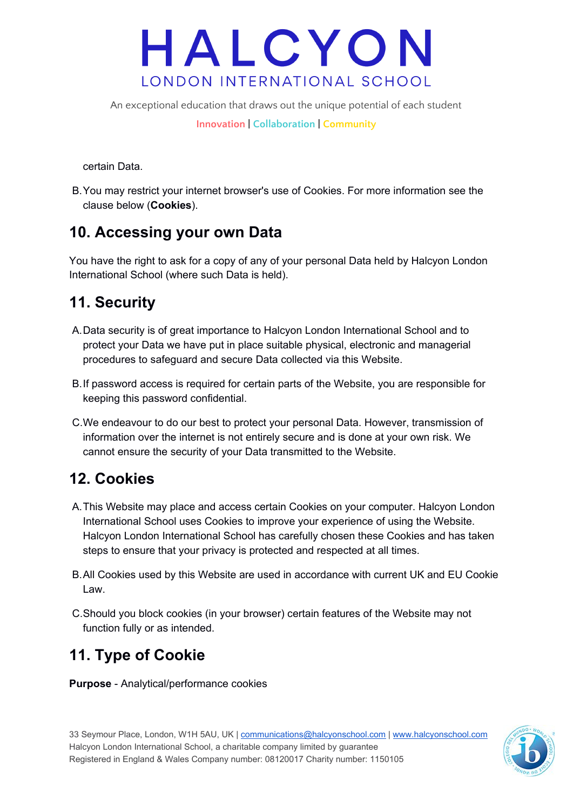An exceptional education that draws out the unique potential of each student

**Innovation | Collaboration | Community**

certain Data.

B.You may restrict your internet browser's use of Cookies. For more information see the clause below (**Cookies**).

#### **10. Accessing your own Data**

You have the right to ask for a copy of any of your personal Data held by Halcyon London International School (where such Data is held).

### **11. Security**

- A.Data security is of great importance to Halcyon London International School and to protect your Data we have put in place suitable physical, electronic and managerial procedures to safeguard and secure Data collected via this Website.
- B.If password access is required for certain parts of the Website, you are responsible for keeping this password confidential.
- C.We endeavour to do our best to protect your personal Data. However, transmission of information over the internet is not entirely secure and is done at your own risk. We cannot ensure the security of your Data transmitted to the Website.

#### **12. Cookies**

- A.This Website may place and access certain Cookies on your computer. Halcyon London International School uses Cookies to improve your experience of using the Website. Halcyon London International School has carefully chosen these Cookies and has taken steps to ensure that your privacy is protected and respected at all times.
- B.All Cookies used by this Website are used in accordance with current UK and EU Cookie Law.
- C.Should you block cookies (in your browser) certain features of the Website may not function fully or as intended.

### **11. Type of Cookie**

**Purpose** - Analytical/performance cookies

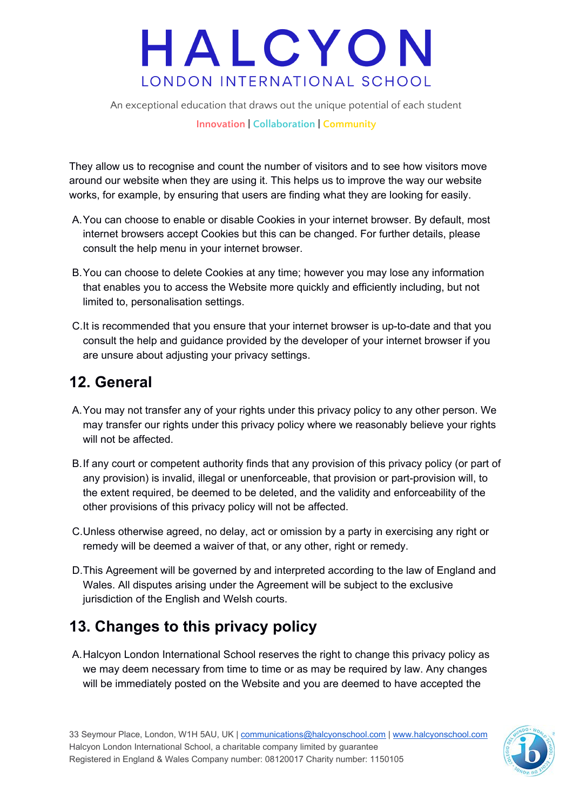An exceptional education that draws out the unique potential of each student

#### **Innovation | Collaboration | Community**

They allow us to recognise and count the number of visitors and to see how visitors move around our website when they are using it. This helps us to improve the way our website works, for example, by ensuring that users are finding what they are looking for easily.

- A.You can choose to enable or disable Cookies in your internet browser. By default, most internet browsers accept Cookies but this can be changed. For further details, please consult the help menu in your internet browser.
- B.You can choose to delete Cookies at any time; however you may lose any information that enables you to access the Website more quickly and efficiently including, but not limited to, personalisation settings.
- C.It is recommended that you ensure that your internet browser is up-to-date and that you consult the help and guidance provided by the developer of your internet browser if you are unsure about adjusting your privacy settings.

#### **12. General**

- A.You may not transfer any of your rights under this privacy policy to any other person. We may transfer our rights under this privacy policy where we reasonably believe your rights will not be affected.
- B.If any court or competent authority finds that any provision of this privacy policy (or part of any provision) is invalid, illegal or unenforceable, that provision or part-provision will, to the extent required, be deemed to be deleted, and the validity and enforceability of the other provisions of this privacy policy will not be affected.
- C.Unless otherwise agreed, no delay, act or omission by a party in exercising any right or remedy will be deemed a waiver of that, or any other, right or remedy.
- D.This Agreement will be governed by and interpreted according to the law of England and Wales. All disputes arising under the Agreement will be subject to the exclusive jurisdiction of the English and Welsh courts.

#### **13. Changes to this privacy policy**

A.Halcyon London International School reserves the right to change this privacy policy as we may deem necessary from time to time or as may be required by law. Any changes will be immediately posted on the Website and you are deemed to have accepted the